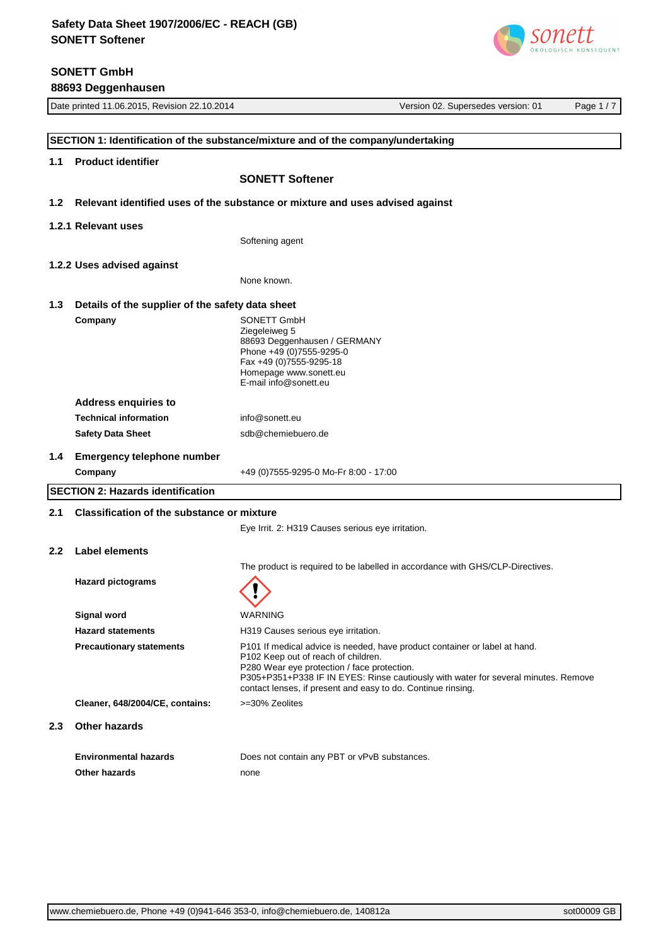# **SONETT GmbH**

**88693 Deggenhausen**



| Date printed 11.06.2015, Revision 22.10.2014 |                                                   | Version 02. Supersedes version: 01                                                                                | Page 1/7                                                                           |  |
|----------------------------------------------|---------------------------------------------------|-------------------------------------------------------------------------------------------------------------------|------------------------------------------------------------------------------------|--|
|                                              |                                                   |                                                                                                                   |                                                                                    |  |
|                                              |                                                   | SECTION 1: Identification of the substance/mixture and of the company/undertaking                                 |                                                                                    |  |
| 1.1                                          | <b>Product identifier</b>                         |                                                                                                                   |                                                                                    |  |
|                                              |                                                   | <b>SONETT Softener</b>                                                                                            |                                                                                    |  |
| 1.2 <sub>1</sub>                             |                                                   | Relevant identified uses of the substance or mixture and uses advised against                                     |                                                                                    |  |
|                                              | 1.2.1 Relevant uses                               |                                                                                                                   |                                                                                    |  |
|                                              |                                                   | Softening agent                                                                                                   |                                                                                    |  |
|                                              | 1.2.2 Uses advised against                        |                                                                                                                   |                                                                                    |  |
|                                              |                                                   | None known.                                                                                                       |                                                                                    |  |
| 1.3                                          | Details of the supplier of the safety data sheet  |                                                                                                                   |                                                                                    |  |
|                                              | Company                                           | SONETT GmbH                                                                                                       |                                                                                    |  |
|                                              |                                                   | Ziegeleiweg 5                                                                                                     |                                                                                    |  |
|                                              |                                                   | 88693 Deggenhausen / GERMANY<br>Phone +49 (0)7555-9295-0                                                          |                                                                                    |  |
|                                              |                                                   | Fax +49 (0) 7555-9295-18                                                                                          |                                                                                    |  |
|                                              |                                                   | Homepage www.sonett.eu                                                                                            |                                                                                    |  |
|                                              |                                                   | E-mail info@sonett.eu                                                                                             |                                                                                    |  |
|                                              | <b>Address enquiries to</b>                       |                                                                                                                   |                                                                                    |  |
|                                              | <b>Technical information</b>                      | info@sonett.eu                                                                                                    |                                                                                    |  |
|                                              | <b>Safety Data Sheet</b>                          | sdb@chemiebuero.de                                                                                                |                                                                                    |  |
| 1.4                                          | <b>Emergency telephone number</b>                 |                                                                                                                   |                                                                                    |  |
|                                              | Company                                           | +49 (0)7555-9295-0 Mo-Fr 8:00 - 17:00                                                                             |                                                                                    |  |
|                                              | <b>SECTION 2: Hazards identification</b>          |                                                                                                                   |                                                                                    |  |
| 2.1                                          | <b>Classification of the substance or mixture</b> |                                                                                                                   |                                                                                    |  |
|                                              |                                                   | Eye Irrit. 2: H319 Causes serious eye irritation.                                                                 |                                                                                    |  |
| $2.2\phantom{0}$                             | Label elements                                    |                                                                                                                   |                                                                                    |  |
|                                              |                                                   |                                                                                                                   | The product is required to be labelled in accordance with GHS/CLP-Directives.      |  |
|                                              | <b>Hazard pictograms</b>                          |                                                                                                                   |                                                                                    |  |
|                                              |                                                   |                                                                                                                   |                                                                                    |  |
|                                              | Signal word                                       | WARNING                                                                                                           |                                                                                    |  |
|                                              | <b>Hazard statements</b>                          | H319 Causes serious eye irritation.                                                                               |                                                                                    |  |
|                                              | <b>Precautionary statements</b>                   | P101 If medical advice is needed, have product container or label at hand.<br>P102 Keep out of reach of children. |                                                                                    |  |
|                                              |                                                   | P280 Wear eye protection / face protection.<br>contact lenses, if present and easy to do. Continue rinsing.       | P305+P351+P338 IF IN EYES: Rinse cautiously with water for several minutes. Remove |  |
|                                              | Cleaner, 648/2004/CE, contains:                   | >=30% Zeolites                                                                                                    |                                                                                    |  |
| 2.3                                          | <b>Other hazards</b>                              |                                                                                                                   |                                                                                    |  |
|                                              | <b>Environmental hazards</b>                      | Does not contain any PBT or vPvB substances.                                                                      |                                                                                    |  |
|                                              | Other hazards                                     | none                                                                                                              |                                                                                    |  |
|                                              |                                                   |                                                                                                                   |                                                                                    |  |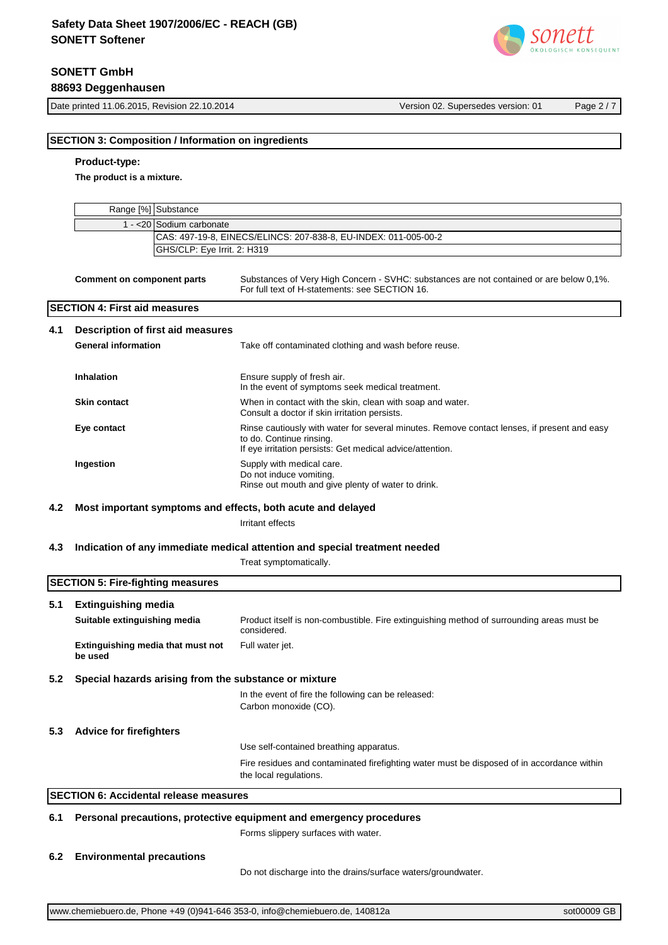# **SONETT GmbH 88693 Deggenhausen**

Date printed 11.06.2015, Revision 22.10.2014 Version 02. Supersedes version: 01 Page 2 / 7

# **SECTION 3: Composition / Information on ingredients Product-type: The product is a mixture.** Range [%] Substance  $1 - 20$ GHS/CLP: Eye Irrit. 2: H319 Sodium carbonate CAS: 497-19-8, EINECS/ELINCS: 207-838-8, EU-INDEX: 011-005-00-2 **Comment on component parts** Substances of Very High Concern - SVHC: substances are not contained or are below 0,1%. For full text of H-statements: see SECTION 16. **SECTION 4: First aid measures 4.1 Description of first aid measures General information** Take off contaminated clothing and wash before reuse. **Inhalation** Ensure supply of fresh air. In the event of symptoms seek medical treatment. **Skin contact Notable 2015** When in contact with the skin, clean with soap and water. Consult a doctor if skin irritation persists. **Eye contact Exercise 20** Rinse cautiously with water for several minutes. Remove contact lenses, if present and easy to do. Continue rinsing. If eye irritation persists: Get medical advice/attention. **Ingestion** Supply with medical care. Do not induce vomiting. Rinse out mouth and give plenty of water to drink. **4.2 Most important symptoms and effects, both acute and delayed** Irritant effects **4.3 Indication of any immediate medical attention and special treatment needed** Treat symptomatically. **SECTION 5: Fire-fighting measures 5.1 Extinguishing media Suitable extinguishing media** Product itself is non-combustible. Fire extinguishing method of surrounding areas must be considered. **Extinguishing media that must not be used** Full water jet. **5.2 Special hazards arising from the substance or mixture** In the event of fire the following can be released: Carbon monoxide (CO). **5.3 Advice for firefighters** Use self-contained breathing apparatus. Fire residues and contaminated firefighting water must be disposed of in accordance within the local regulations. **SECTION 6: Accidental release measures 6.1 Personal precautions, protective equipment and emergency procedures** Forms slippery surfaces with water. **6.2 Environmental precautions**

Do not discharge into the drains/surface waters/groundwater.

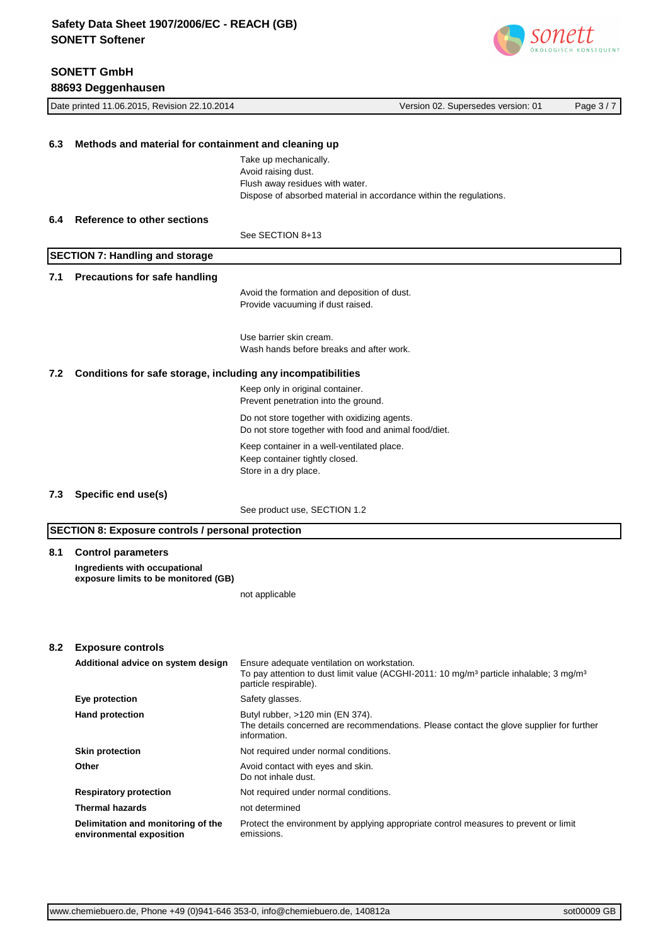**SONETT GmbH**



|     | 88693 Deggenhausen                                                    |                                                                                                                                                       |          |
|-----|-----------------------------------------------------------------------|-------------------------------------------------------------------------------------------------------------------------------------------------------|----------|
|     | Date printed 11.06.2015, Revision 22.10.2014                          | Version 02. Supersedes version: 01                                                                                                                    | Page 3/7 |
|     |                                                                       |                                                                                                                                                       |          |
| 6.3 | Methods and material for containment and cleaning up                  |                                                                                                                                                       |          |
|     |                                                                       | Take up mechanically.<br>Avoid raising dust.<br>Flush away residues with water.<br>Dispose of absorbed material in accordance within the regulations. |          |
| 6.4 | Reference to other sections                                           |                                                                                                                                                       |          |
|     |                                                                       | See SECTION 8+13                                                                                                                                      |          |
|     | <b>SECTION 7: Handling and storage</b>                                |                                                                                                                                                       |          |
| 7.1 | <b>Precautions for safe handling</b>                                  |                                                                                                                                                       |          |
|     |                                                                       | Avoid the formation and deposition of dust.<br>Provide vacuuming if dust raised.                                                                      |          |
|     |                                                                       | Use barrier skin cream.<br>Wash hands before breaks and after work.                                                                                   |          |
| 7.2 | Conditions for safe storage, including any incompatibilities          |                                                                                                                                                       |          |
|     |                                                                       | Keep only in original container.<br>Prevent penetration into the ground.                                                                              |          |
|     |                                                                       | Do not store together with oxidizing agents.<br>Do not store together with food and animal food/diet.                                                 |          |
|     |                                                                       | Keep container in a well-ventilated place.<br>Keep container tightly closed.<br>Store in a dry place.                                                 |          |
| 7.3 | Specific end use(s)                                                   |                                                                                                                                                       |          |
|     |                                                                       | See product use, SECTION 1.2                                                                                                                          |          |
|     | <b>SECTION 8: Exposure controls / personal protection</b>             |                                                                                                                                                       |          |
| 8.1 | <b>Control parameters</b>                                             |                                                                                                                                                       |          |
|     | Ingredients with occupational<br>exposure limits to be monitored (GB) |                                                                                                                                                       |          |
|     |                                                                       | not applicable                                                                                                                                        |          |
|     |                                                                       |                                                                                                                                                       |          |
| 8.2 | <b>Exposure controls</b><br>Additional advice on system design        | Ensure adequate ventilation on workstation.                                                                                                           |          |
|     |                                                                       | To pay attention to dust limit value (ACGHI-2011: 10 mg/m <sup>3</sup> particle inhalable; 3 mg/m <sup>3</sup><br>particle respirable).               |          |
|     | Eye protection                                                        | Safety glasses.                                                                                                                                       |          |
|     | <b>Hand protection</b>                                                | Butyl rubber, >120 min (EN 374).<br>The details concerned are recommendations. Please contact the glove supplier for further<br>information.          |          |
|     | <b>Skin protection</b>                                                | Not required under normal conditions.                                                                                                                 |          |
|     | Other                                                                 | Avoid contact with eyes and skin.<br>Do not inhale dust.                                                                                              |          |
|     | <b>Respiratory protection</b>                                         | Not required under normal conditions.                                                                                                                 |          |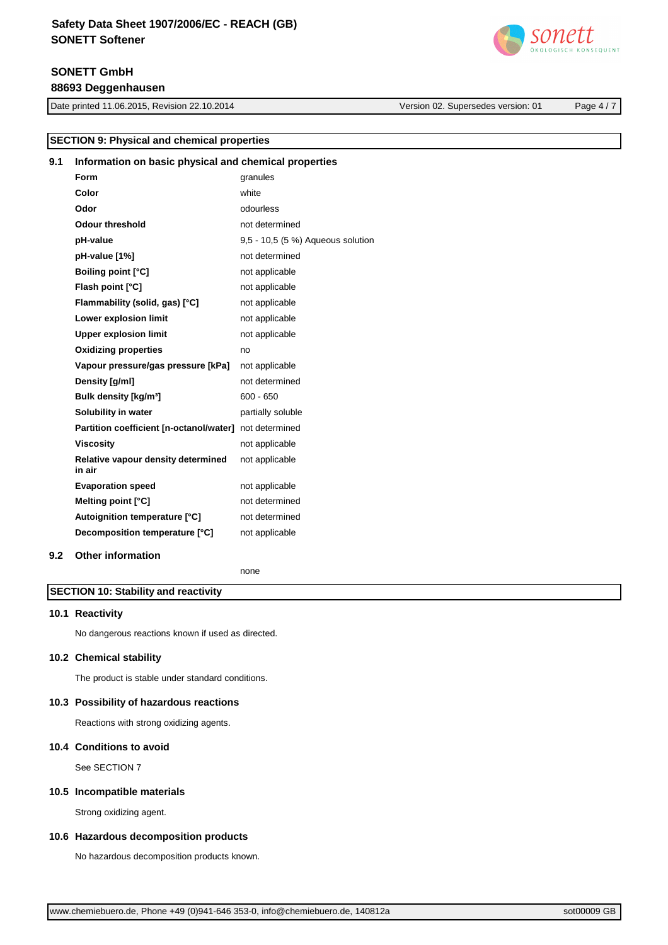# **SONETT GmbH 88693 Deggenhausen**

Date printed 11.06.2015, Revision 22.10.2014 Version 02. Supersedes version: 01 Page 4 / 7



| <b>SECTION 9: Physical and chemical properties</b> |                                                       |                                   |  |
|----------------------------------------------------|-------------------------------------------------------|-----------------------------------|--|
| 9.1                                                | Information on basic physical and chemical properties |                                   |  |
|                                                    | Form                                                  | granules                          |  |
|                                                    | Color                                                 | white                             |  |
|                                                    | Odor                                                  | odourless                         |  |
|                                                    | <b>Odour threshold</b>                                | not determined                    |  |
|                                                    | pH-value                                              | 9,5 - 10,5 (5 %) Aqueous solution |  |
|                                                    | pH-value [1%]                                         | not determined                    |  |
|                                                    | <b>Boiling point [°C]</b>                             | not applicable                    |  |
|                                                    | Flash point [°C]                                      | not applicable                    |  |
|                                                    | Flammability (solid, gas) [°C]                        | not applicable                    |  |
|                                                    | Lower explosion limit                                 | not applicable                    |  |
|                                                    | <b>Upper explosion limit</b>                          | not applicable                    |  |
|                                                    | <b>Oxidizing properties</b>                           | no                                |  |
|                                                    | Vapour pressure/gas pressure [kPa]                    | not applicable                    |  |
|                                                    | Density [g/ml]                                        | not determined                    |  |
|                                                    | Bulk density [kg/m <sup>3</sup> ]                     | $600 - 650$                       |  |
|                                                    | Solubility in water                                   | partially soluble                 |  |
|                                                    | Partition coefficient [n-octanol/water]               | not determined                    |  |
|                                                    | <b>Viscosity</b>                                      | not applicable                    |  |
|                                                    | Relative vapour density determined<br>in air          | not applicable                    |  |
|                                                    | <b>Evaporation speed</b>                              | not applicable                    |  |
|                                                    | Melting point [°C]                                    | not determined                    |  |
|                                                    | Autoignition temperature [°C]                         | not determined                    |  |
|                                                    | Decomposition temperature [°C]                        | not applicable                    |  |
| 9.2                                                | <b>Other information</b>                              |                                   |  |

none

# **SECTION 10: Stability and reactivity**

#### **10.1 Reactivity**

No dangerous reactions known if used as directed.

# **10.2 Chemical stability**

The product is stable under standard conditions.

#### **10.3 Possibility of hazardous reactions**

Reactions with strong oxidizing agents.

# **10.4 Conditions to avoid**

See SECTION 7

# **10.5 Incompatible materials**

Strong oxidizing agent.

## **10.6 Hazardous decomposition products**

No hazardous decomposition products known.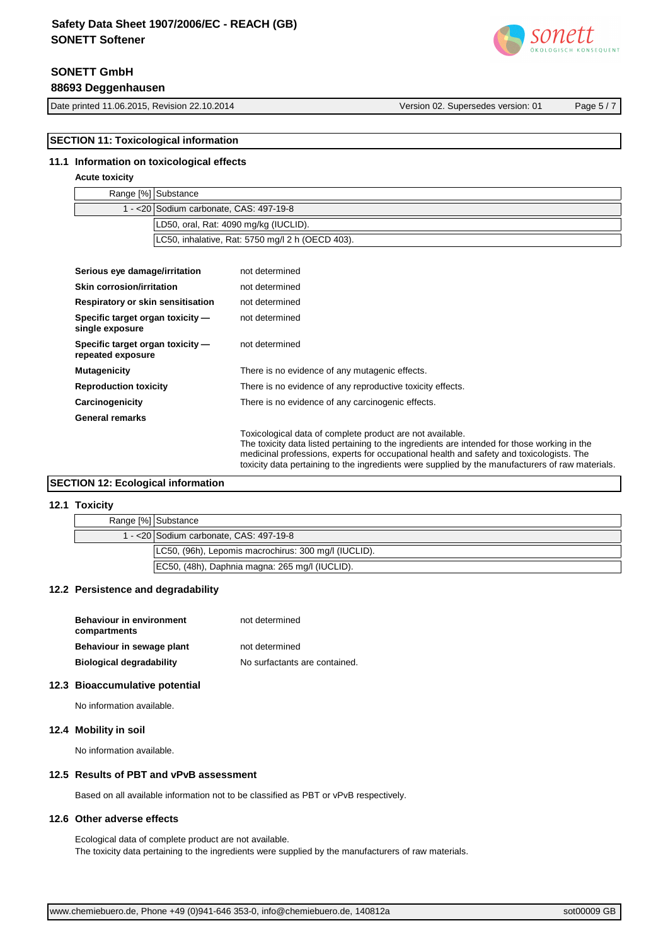# **SONETT GmbH**

**88693 Deggenhausen**

Date printed 11.06.2015, Revision 22.10.2014 Version 02. Supersedes version: 01 Page 5 / 7

# **SECTION 11: Toxicological information**

#### **11.1 Information on toxicological effects**

# **Acute toxicity**

| Range [%] Substance                              |
|--------------------------------------------------|
| 1 - <20 Sodium carbonate, CAS: 497-19-8          |
| LD50, oral, Rat: 4090 mg/kg (IUCLID).            |
| LC50, inhalative, Rat: 5750 mg/l 2 h (OECD 403). |

| Serious eye damage/irritation                                                              | not determined                                                                                                                                                                                                                                        |  |
|--------------------------------------------------------------------------------------------|-------------------------------------------------------------------------------------------------------------------------------------------------------------------------------------------------------------------------------------------------------|--|
| Skin corrosion/irritation                                                                  | not determined                                                                                                                                                                                                                                        |  |
| Respiratory or skin sensitisation                                                          | not determined                                                                                                                                                                                                                                        |  |
| Specific target organ toxicity -<br>single exposure                                        | not determined                                                                                                                                                                                                                                        |  |
| Specific target organ toxicity -<br>repeated exposure                                      | not determined                                                                                                                                                                                                                                        |  |
| <b>Mutagenicity</b>                                                                        | There is no evidence of any mutagenic effects.                                                                                                                                                                                                        |  |
| <b>Reproduction toxicity</b><br>There is no evidence of any reproductive toxicity effects. |                                                                                                                                                                                                                                                       |  |
| There is no evidence of any carcinogenic effects.<br>Carcinogenicity                       |                                                                                                                                                                                                                                                       |  |
| <b>General remarks</b>                                                                     |                                                                                                                                                                                                                                                       |  |
|                                                                                            | Toxicological data of complete product are not available.<br>The toxicity data listed pertaining to the ingredients are intended for those working in the<br>medicinal professions, experts for occupational health and safety and toxicologists. The |  |

# **SECTION 12: Ecological information**

# **12.1 Toxicity**

| .                                        |                                                      |
|------------------------------------------|------------------------------------------------------|
| Range [%] Substance                      |                                                      |
| 1 - < 20 Sodium carbonate, CAS: 497-19-8 |                                                      |
|                                          | LC50, (96h), Lepomis macrochirus: 300 mg/l (IUCLID). |
|                                          | EC50, (48h), Daphnia magna: 265 mg/l (IUCLID).       |

toxicity data pertaining to the ingredients were supplied by the manufacturers of raw materials.

# **12.2 Persistence and degradability**

| <b>Behaviour in environment</b><br>compartments | not determined                |
|-------------------------------------------------|-------------------------------|
| Behaviour in sewage plant                       | not determined                |
| <b>Biological degradability</b>                 | No surfactants are contained. |

#### **12.3 Bioaccumulative potential**

No information available.

# **12.4 Mobility in soil**

No information available.

#### **12.5 Results of PBT and vPvB assessment**

Based on all available information not to be classified as PBT or vPvB respectively.

# **12.6 Other adverse effects**

Ecological data of complete product are not available. The toxicity data pertaining to the ingredients were supplied by the manufacturers of raw materials.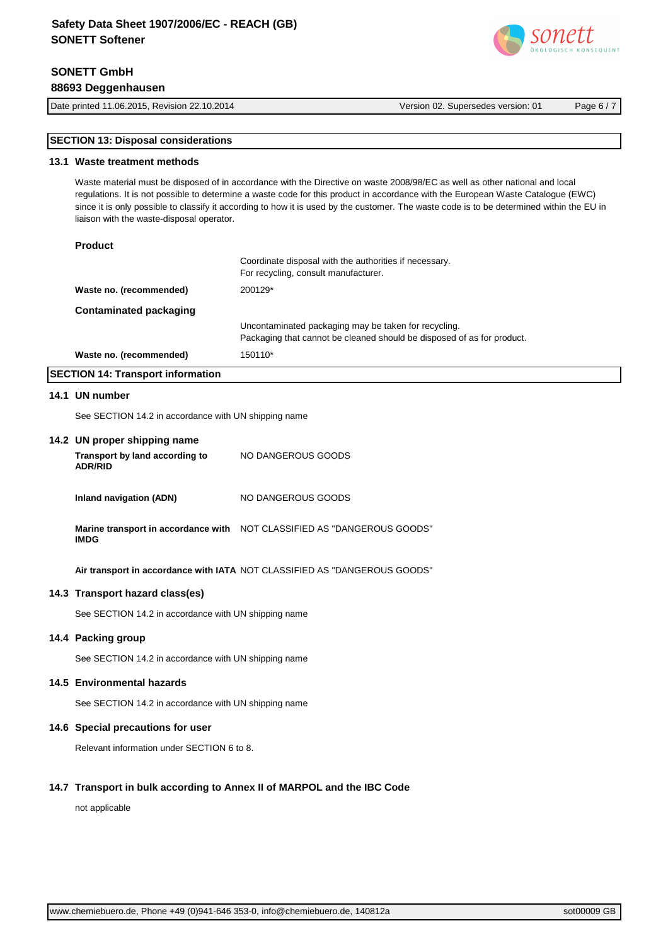# **SONETT GmbH 88693 Deggenhausen**

Date printed 11.06.2015, Revision 22.10.2014 Version 02. Supersedes version: 01 Page 6 / 7

# **SECTION 13: Disposal considerations**

## **13.1 Waste treatment methods**

Waste material must be disposed of in accordance with the Directive on waste 2008/98/EC as well as other national and local regulations. It is not possible to determine a waste code for this product in accordance with the European Waste Catalogue (EWC) since it is only possible to classify it according to how it is used by the customer. The waste code is to be determined within the EU in liaison with the waste-disposal operator.

## **Product**

|                         | Coordinate disposal with the authorities if necessary.<br>For recycling, consult manufacturer.                                 |
|-------------------------|--------------------------------------------------------------------------------------------------------------------------------|
| Waste no. (recommended) | 200129*                                                                                                                        |
| Contaminated packaging  |                                                                                                                                |
|                         | Uncontaminated packaging may be taken for recycling.<br>Packaging that cannot be cleaned should be disposed of as for product. |
| Waste no. (recommended) | 150110*                                                                                                                        |

# **SECTION 14: Transport information**

#### **14.1 UN number**

See SECTION 14.2 in accordance with UN shipping name

#### **14.2 UN proper shipping name**

| Transport by land according to<br><b>ADR/RID</b> | NO DANGEROUS GOODS |
|--------------------------------------------------|--------------------|
| Inland navigation (ADN)                          | NO DANGEROUS GOODS |

**Marine transport in accordance with**  NOT CLASSIFIED AS "DANGEROUS GOODS" **IMDG**

**Air transport in accordance with IATA** NOT CLASSIFIED AS "DANGEROUS GOODS"

# **14.3 Transport hazard class(es)**

See SECTION 14.2 in accordance with UN shipping name

# **14.4 Packing group**

See SECTION 14.2 in accordance with UN shipping name

#### **14.5 Environmental hazards**

See SECTION 14.2 in accordance with UN shipping name

## **14.6 Special precautions for user**

Relevant information under SECTION 6 to 8.

## **14.7 Transport in bulk according to Annex II of MARPOL and the IBC Code**

not applicable